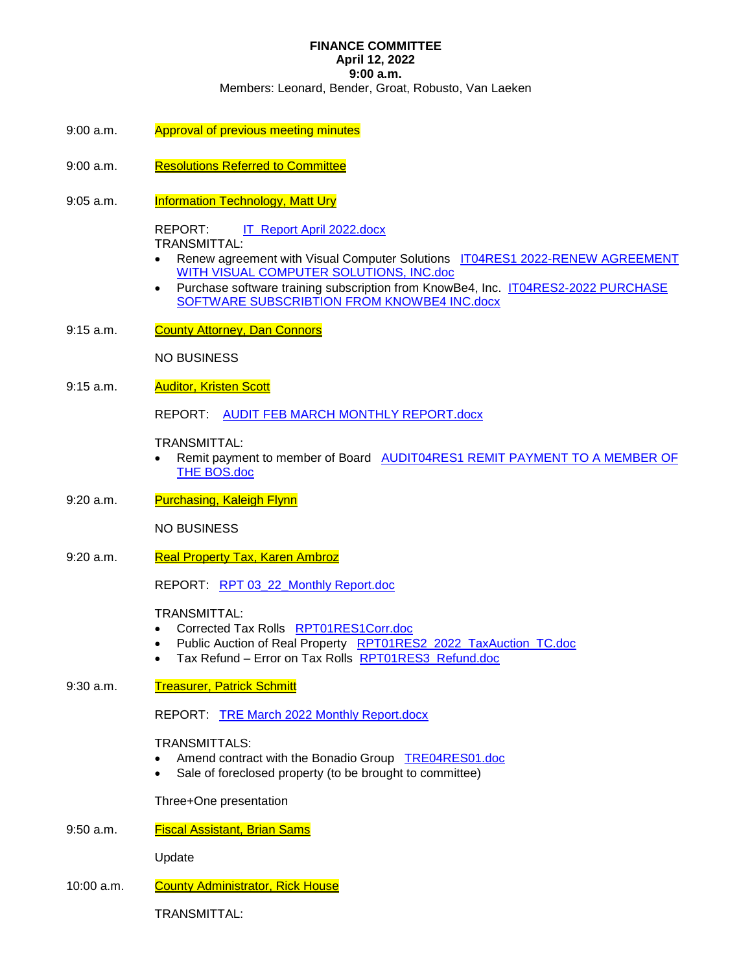## **FINANCE COMMITTEE April 12, 2022 9:00 a.m.**  Members: Leonard, Bender, Groat, Robusto, Van Laeken

- 9:00 a.m. Approval of previous meeting minutes
- 9:00 a.m. Resolutions Referred to Committee
- 9:05 a.m. **Information Technology, Matt Ury**

REPORT: IT Report April 2022.docx TRANSMITTAL:

- Renew agreement with Visual Computer Solutions IT04RES1 2022-RENEW AGREEMENT WITH VISUAL COMPUTER SOLUTIONS, INC.doc
- Purchase software training subscription from KnowBe4, Inc. IT04RES2-2022 PURCHASE SOFTWARE SUBSCRIBTION FROM KNOWBE4 INC.docx
- 9:15 a.m. County Attorney, Dan Connors

NO BUSINESS

9:15 a.m. **Auditor, Kristen Scott** 

REPORT: AUDIT FEB MARCH MONTHLY REPORT.docx

TRANSMITTAL:

- Remit payment to member of Board **AUDIT04RES1 REMIT PAYMENT TO A MEMBER OF** THE BOS.doc
- 9:20 a.m. Purchasing, Kaleigh Flynn

NO BUSINESS

9:20 a.m. Real Property Tax, Karen Ambroz

REPORT: RPT 03\_22\_Monthly Report.doc

TRANSMITTAL:

- Corrected Tax Rolls RPT01RES1Corr.doc
- Public Auction of Real Property RPT01RES2\_2022\_TaxAuction\_TC.doc
- Tax Refund Error on Tax Rolls RPT01RES3 Refund.doc
- 9:30 a.m. Treasurer, Patrick Schmitt

REPORT: TRE March 2022 Monthly Report.docx

TRANSMITTALS:

- Amend contract with the Bonadio Group TRE04RES01.doc
- Sale of foreclosed property (to be brought to committee)

Three+One presentation

9:50 a.m. Fiscal Assistant, Brian Sams

Update

10:00 a.m. County Administrator, Rick House

TRANSMITTAL: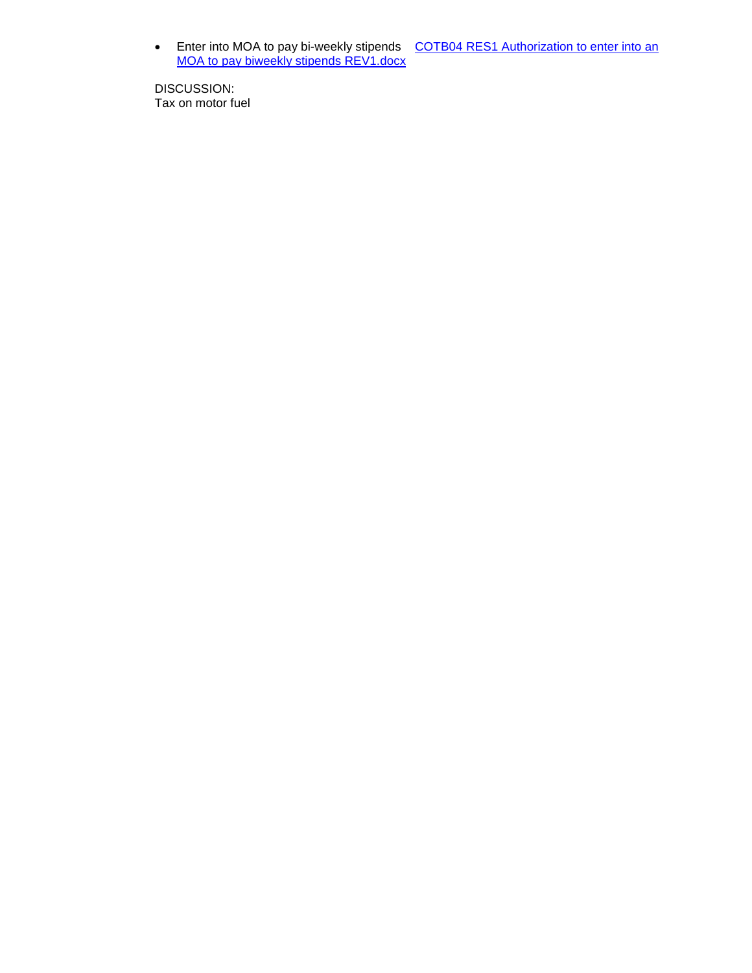• Enter into MOA to pay bi-weekly stipends COTB04 RES1 Authorization to enter into an MOA to pay biweekly stipends REV1.docx

DISCUSSION: Tax on motor fuel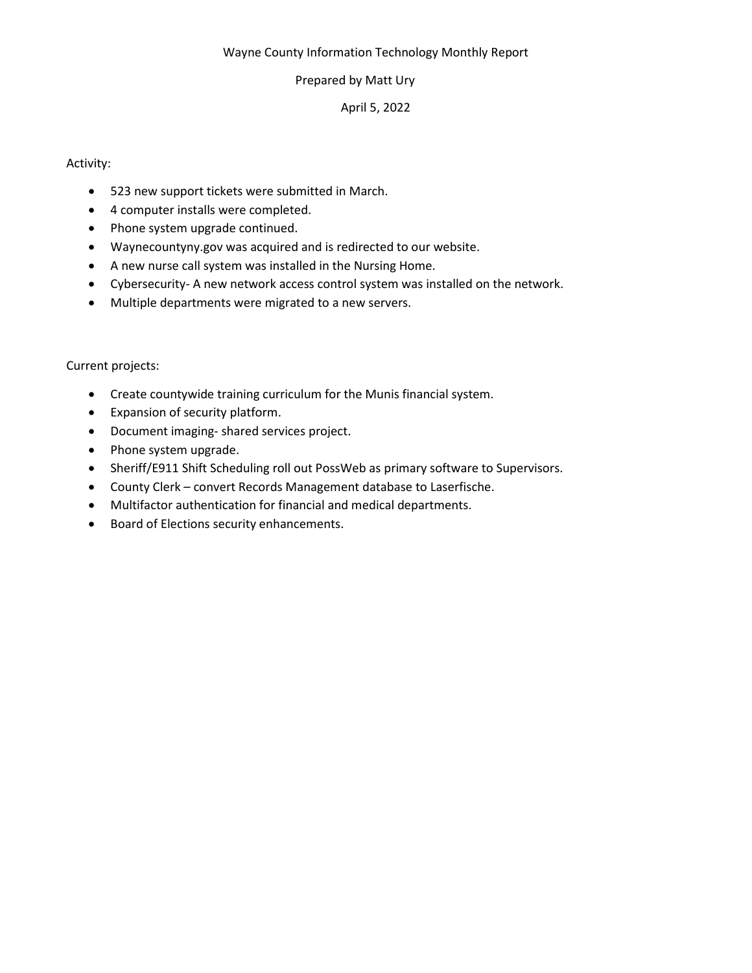## Wayne County Information Technology Monthly Report

## Prepared by Matt Ury

# April 5, 2022

## Activity:

- 523 new support tickets were submitted in March.
- 4 computer installs were completed.
- Phone system upgrade continued.
- Waynecountyny.gov was acquired and is redirected to our website.
- A new nurse call system was installed in the Nursing Home.
- Cybersecurity- A new network access control system was installed on the network.
- Multiple departments were migrated to a new servers.

## Current projects:

- Create countywide training curriculum for the Munis financial system.
- Expansion of security platform.
- Document imaging- shared services project.
- Phone system upgrade.
- Sheriff/E911 Shift Scheduling roll out PossWeb as primary software to Supervisors.
- County Clerk convert Records Management database to Laserfische.
- Multifactor authentication for financial and medical departments.
- Board of Elections security enhancements.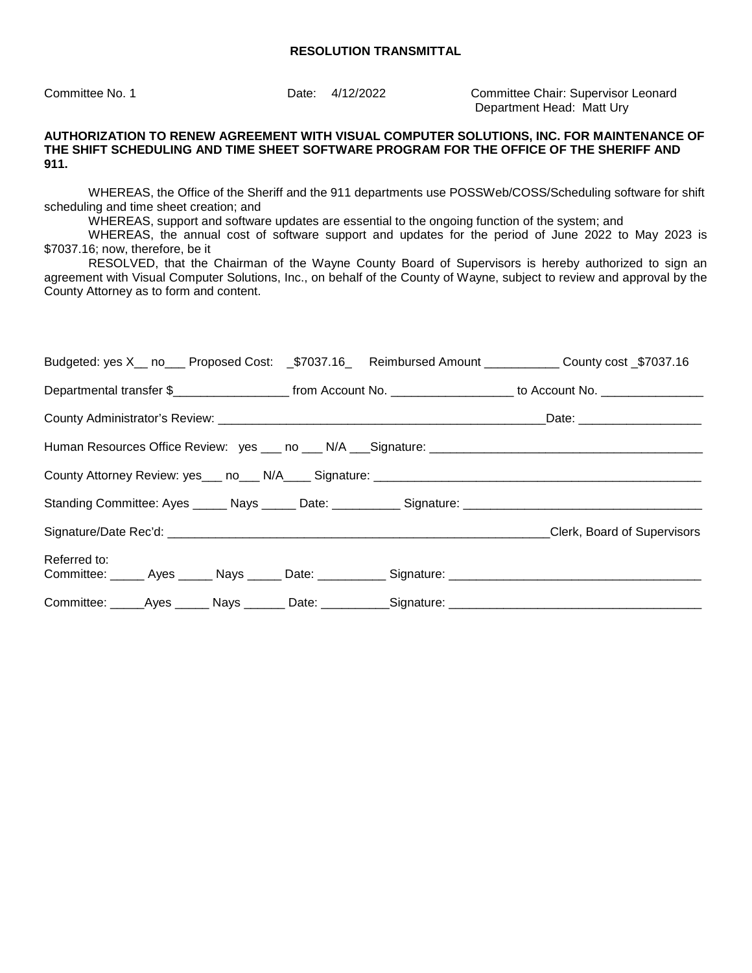Committee No. 1 Date: 4/12/2022 Committee Chair: Supervisor Leonard Department Head: Matt Ury

## **AUTHORIZATION TO RENEW AGREEMENT WITH VISUAL COMPUTER SOLUTIONS, INC. FOR MAINTENANCE OF THE SHIFT SCHEDULING AND TIME SHEET SOFTWARE PROGRAM FOR THE OFFICE OF THE SHERIFF AND 911.**

WHEREAS, the Office of the Sheriff and the 911 departments use POSSWeb/COSS/Scheduling software for shift scheduling and time sheet creation; and

WHEREAS, support and software updates are essential to the ongoing function of the system; and

WHEREAS, the annual cost of software support and updates for the period of June 2022 to May 2023 is \$7037.16; now, therefore, be it

RESOLVED, that the Chairman of the Wayne County Board of Supervisors is hereby authorized to sign an agreement with Visual Computer Solutions, Inc., on behalf of the County of Wayne, subject to review and approval by the County Attorney as to form and content.

| Budgeted: yes X__ no___ Proposed Cost: _\$7037.16_ Reimbursed Amount __________ County cost _\$7037.16               |  |                             |
|----------------------------------------------------------------------------------------------------------------------|--|-----------------------------|
| Departmental transfer \$_______________________ from Account No. ___________________ to Account No. ____________     |  |                             |
|                                                                                                                      |  |                             |
|                                                                                                                      |  |                             |
|                                                                                                                      |  |                             |
|                                                                                                                      |  |                             |
|                                                                                                                      |  | Clerk, Board of Supervisors |
| Referred to:<br>Committee: ______ Ayes ______ Nays ______ Date: ___________ Signature: _____________________________ |  |                             |
| Committee: _____Ayes ______ Nays _______ Date: __________Signature: ________________________________                 |  |                             |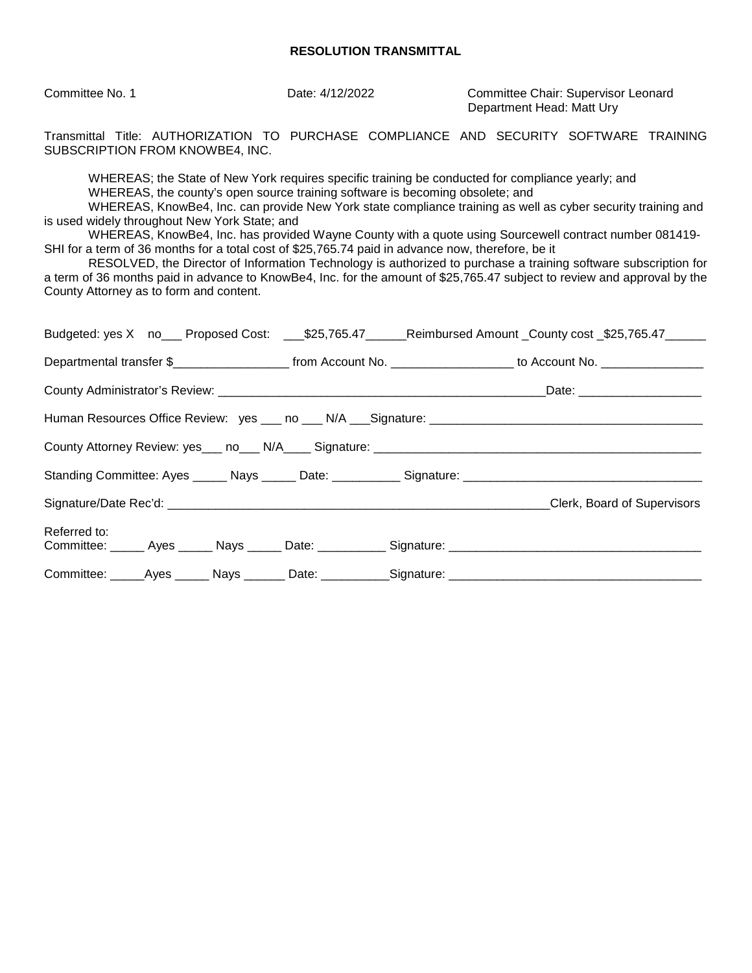Committee No. 1 Date: 4/12/2022 Committee Chair: Supervisor Leonard Department Head: Matt Ury

Transmittal Title: AUTHORIZATION TO PURCHASE COMPLIANCE AND SECURITY SOFTWARE TRAINING SUBSCRIPTION FROM KNOWBE4, INC.

WHEREAS; the State of New York requires specific training be conducted for compliance yearly; and WHEREAS, the county's open source training software is becoming obsolete; and

WHEREAS, KnowBe4, Inc. can provide New York state compliance training as well as cyber security training and is used widely throughout New York State; and

WHEREAS, KnowBe4, Inc. has provided Wayne County with a quote using Sourcewell contract number 081419- SHI for a term of 36 months for a total cost of \$25,765.74 paid in advance now, therefore, be it

RESOLVED, the Director of Information Technology is authorized to purchase a training software subscription for a term of 36 months paid in advance to KnowBe4, Inc. for the amount of \$25,765.47 subject to review and approval by the County Attorney as to form and content.

|              |  |  | Budgeted: yes X no___ Proposed Cost: ___\$25,765.47 ______Reimbursed Amount _County cost _\$25,765.47 ______                             |
|--------------|--|--|------------------------------------------------------------------------------------------------------------------------------------------|
|              |  |  | Departmental transfer \$________________________________from Account No. ____________________________ to Account No. ___________________ |
|              |  |  |                                                                                                                                          |
|              |  |  |                                                                                                                                          |
|              |  |  |                                                                                                                                          |
|              |  |  |                                                                                                                                          |
|              |  |  | Clerk, Board of Supervisors                                                                                                              |
| Referred to: |  |  |                                                                                                                                          |
|              |  |  | Committee: ______Ayes ______ Nays _______ Date: ___________Signature: ______________________________                                     |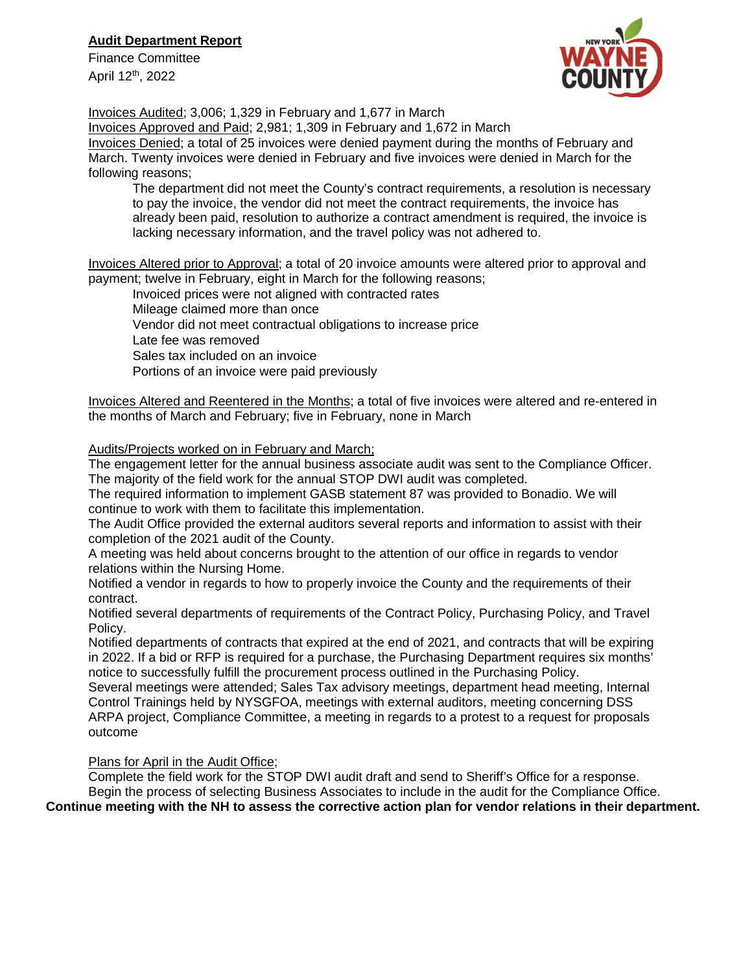# **Audit Department Report**

Finance Committee April 12th, 2022



Invoices Audited; 3,006; 1,329 in February and 1,677 in March

Invoices Approved and Paid; 2,981; 1,309 in February and 1,672 in March

Invoices Denied; a total of 25 invoices were denied payment during the months of February and March. Twenty invoices were denied in February and five invoices were denied in March for the following reasons;

The department did not meet the County's contract requirements, a resolution is necessary to pay the invoice, the vendor did not meet the contract requirements, the invoice has already been paid, resolution to authorize a contract amendment is required, the invoice is lacking necessary information, and the travel policy was not adhered to.

Invoices Altered prior to Approval; a total of 20 invoice amounts were altered prior to approval and payment; twelve in February, eight in March for the following reasons;

Invoiced prices were not aligned with contracted rates

Mileage claimed more than once

Vendor did not meet contractual obligations to increase price

Late fee was removed

Sales tax included on an invoice

Portions of an invoice were paid previously

Invoices Altered and Reentered in the Months; a total of five invoices were altered and re-entered in the months of March and February; five in February, none in March

# Audits/Projects worked on in February and March;

The engagement letter for the annual business associate audit was sent to the Compliance Officer. The majority of the field work for the annual STOP DWI audit was completed.

The required information to implement GASB statement 87 was provided to Bonadio. We will continue to work with them to facilitate this implementation.

The Audit Office provided the external auditors several reports and information to assist with their completion of the 2021 audit of the County.

A meeting was held about concerns brought to the attention of our office in regards to vendor relations within the Nursing Home.

Notified a vendor in regards to how to properly invoice the County and the requirements of their contract.

Notified several departments of requirements of the Contract Policy, Purchasing Policy, and Travel Policy.

Notified departments of contracts that expired at the end of 2021, and contracts that will be expiring in 2022. If a bid or RFP is required for a purchase, the Purchasing Department requires six months' notice to successfully fulfill the procurement process outlined in the Purchasing Policy.

Several meetings were attended; Sales Tax advisory meetings, department head meeting, Internal Control Trainings held by NYSGFOA, meetings with external auditors, meeting concerning DSS ARPA project, Compliance Committee, a meeting in regards to a protest to a request for proposals outcome

Plans for April in the Audit Office;

Complete the field work for the STOP DWI audit draft and send to Sheriff's Office for a response. Begin the process of selecting Business Associates to include in the audit for the Compliance Office. **Continue meeting with the NH to assess the corrective action plan for vendor relations in their department.**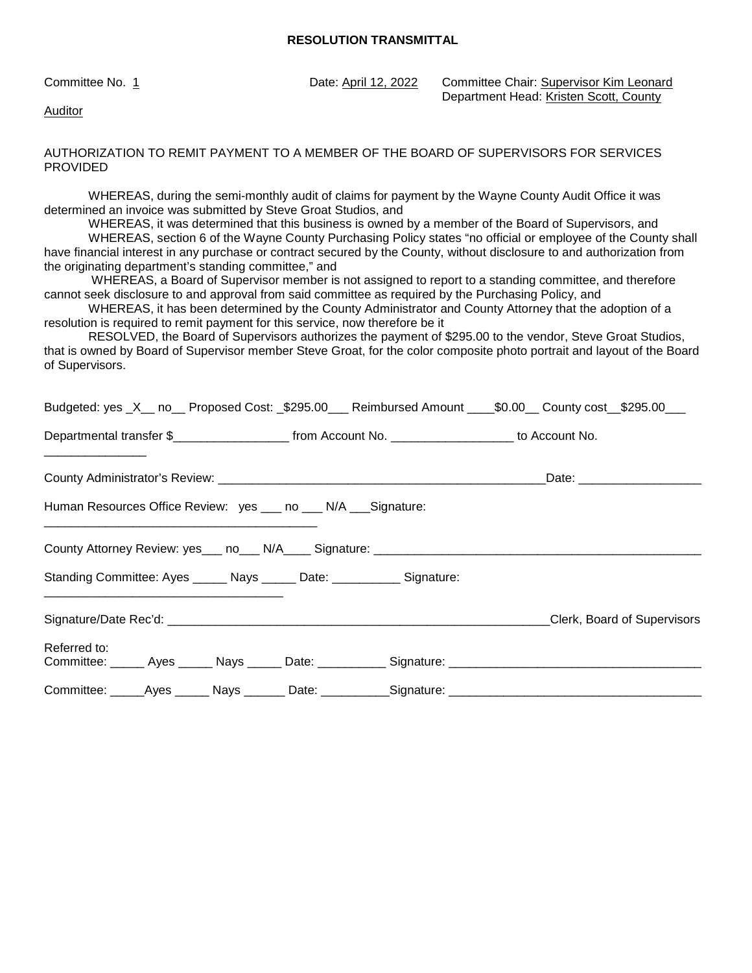Committee No. 1 Date: April 12, 2022 Committee Chair: Supervisor Kim Leonard Department Head: Kristen Scott, County

Auditor

AUTHORIZATION TO REMIT PAYMENT TO A MEMBER OF THE BOARD OF SUPERVISORS FOR SERVICES PROVIDED

WHEREAS, during the semi-monthly audit of claims for payment by the Wayne County Audit Office it was determined an invoice was submitted by Steve Groat Studios, and

WHEREAS, it was determined that this business is owned by a member of the Board of Supervisors, and WHEREAS, section 6 of the Wayne County Purchasing Policy states "no official or employee of the County shall have financial interest in any purchase or contract secured by the County, without disclosure to and authorization from the originating department's standing committee," and

 WHEREAS, a Board of Supervisor member is not assigned to report to a standing committee, and therefore cannot seek disclosure to and approval from said committee as required by the Purchasing Policy, and

WHEREAS, it has been determined by the County Administrator and County Attorney that the adoption of a resolution is required to remit payment for this service, now therefore be it

RESOLVED, the Board of Supervisors authorizes the payment of \$295.00 to the vendor, Steve Groat Studios, that is owned by Board of Supervisor member Steve Groat, for the color composite photo portrait and layout of the Board of Supervisors.

|              |  |                                                                  |                                                                          | Budgeted: yes _X __ no__ Proposed Cost: _\$295.00 __ Reimbursed Amount ____\$0.00 __ County cost _\$295.00 __ |
|--------------|--|------------------------------------------------------------------|--------------------------------------------------------------------------|---------------------------------------------------------------------------------------------------------------|
|              |  |                                                                  |                                                                          |                                                                                                               |
|              |  |                                                                  |                                                                          |                                                                                                               |
|              |  | Human Resources Office Review: yes ___ no ___ N/A ___ Signature: |                                                                          |                                                                                                               |
|              |  |                                                                  |                                                                          |                                                                                                               |
|              |  |                                                                  | Standing Committee: Ayes ______ Nays ______ Date: ___________ Signature: |                                                                                                               |
|              |  |                                                                  |                                                                          | Clerk, Board of Supervisors                                                                                   |
| Referred to: |  |                                                                  |                                                                          |                                                                                                               |
|              |  |                                                                  |                                                                          |                                                                                                               |
|              |  |                                                                  |                                                                          | Committee: _____Ayes ______ Nays _______ Date: ___________Signature: _______________________________          |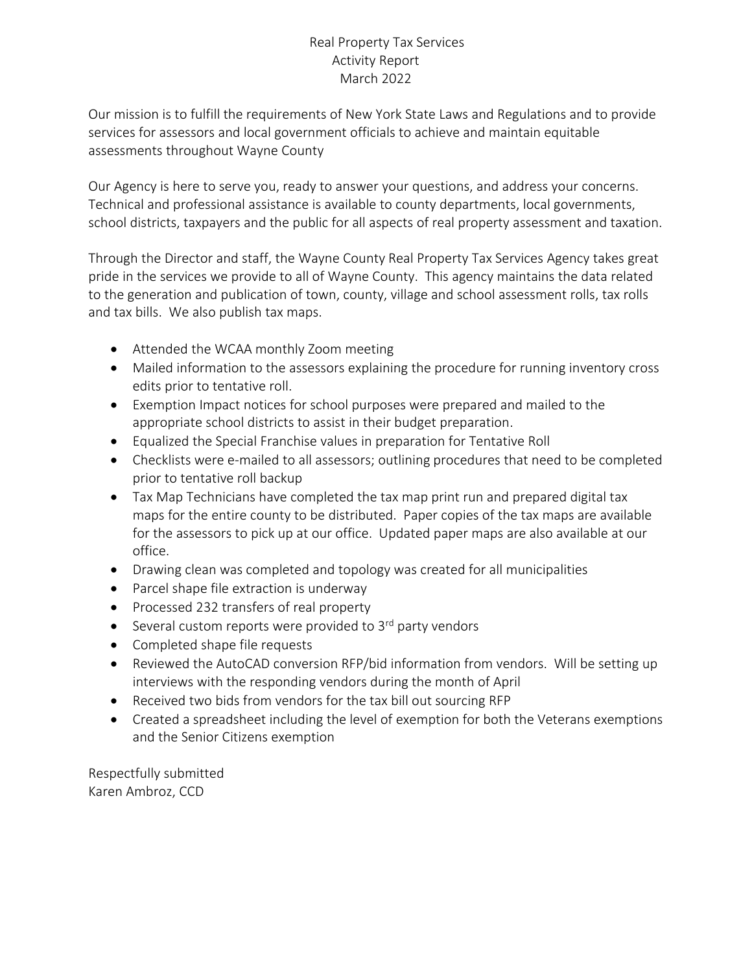# Real Property Tax Services Activity Report March 2022

Our mission is to fulfill the requirements of New York State Laws and Regulations and to provide services for assessors and local government officials to achieve and maintain equitable assessments throughout Wayne County

Our Agency is here to serve you, ready to answer your questions, and address your concerns. Technical and professional assistance is available to county departments, local governments, school districts, taxpayers and the public for all aspects of real property assessment and taxation.

Through the Director and staff, the Wayne County Real Property Tax Services Agency takes great pride in the services we provide to all of Wayne County. This agency maintains the data related to the generation and publication of town, county, village and school assessment rolls, tax rolls and tax bills. We also publish tax maps.

- Attended the WCAA monthly Zoom meeting
- Mailed information to the assessors explaining the procedure for running inventory cross edits prior to tentative roll.
- Exemption Impact notices for school purposes were prepared and mailed to the appropriate school districts to assist in their budget preparation.
- Equalized the Special Franchise values in preparation for Tentative Roll
- Checklists were e-mailed to all assessors; outlining procedures that need to be completed prior to tentative roll backup
- Tax Map Technicians have completed the tax map print run and prepared digital tax maps for the entire county to be distributed. Paper copies of the tax maps are available for the assessors to pick up at our office. Updated paper maps are also available at our office.
- Drawing clean was completed and topology was created for all municipalities
- Parcel shape file extraction is underway
- Processed 232 transfers of real property
- $\bullet$  Several custom reports were provided to 3<sup>rd</sup> party vendors
- Completed shape file requests
- Reviewed the AutoCAD conversion RFP/bid information from vendors. Will be setting up interviews with the responding vendors during the month of April
- Received two bids from vendors for the tax bill out sourcing RFP
- Created a spreadsheet including the level of exemption for both the Veterans exemptions and the Senior Citizens exemption

Respectfully submitted Karen Ambroz, CCD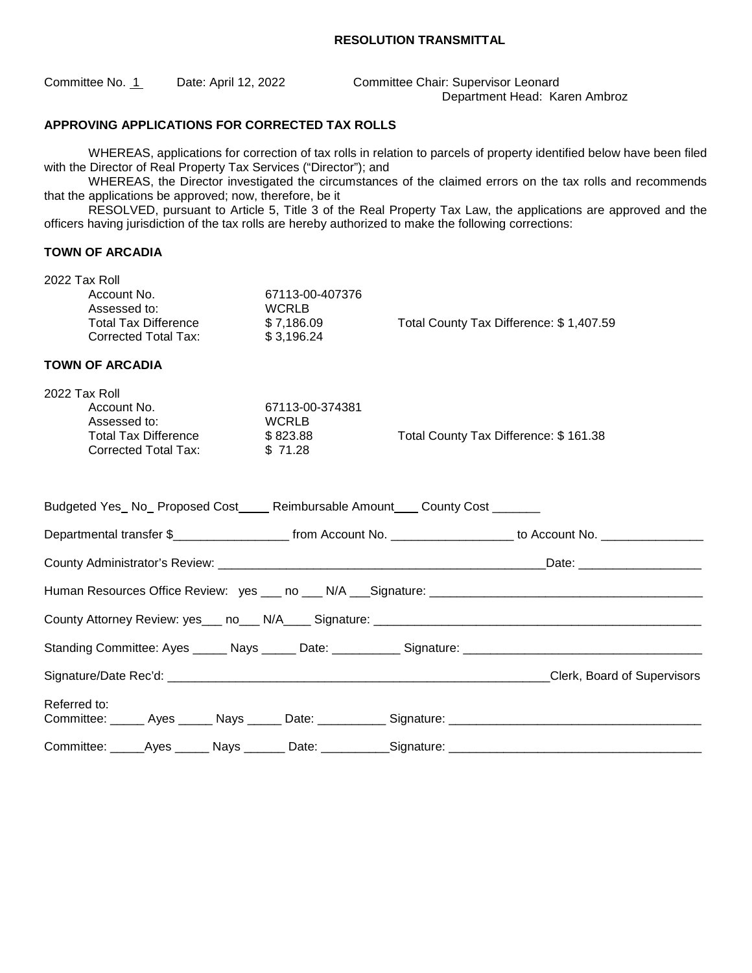Committee No. 1 Date: April 12, 2022 Committee Chair: Supervisor Leonard

Department Head: Karen Ambroz

## **APPROVING APPLICATIONS FOR CORRECTED TAX ROLLS**

WHEREAS, applications for correction of tax rolls in relation to parcels of property identified below have been filed with the Director of Real Property Tax Services ("Director"); and

 WHEREAS, the Director investigated the circumstances of the claimed errors on the tax rolls and recommends that the applications be approved; now, therefore, be it

RESOLVED, pursuant to Article 5, Title 3 of the Real Property Tax Law, the applications are approved and the officers having jurisdiction of the tax rolls are hereby authorized to make the following corrections:

## **TOWN OF ARCADIA**

Referred to:

| 2022 Tax Roll                                                              |                 |                                                                                                                                         |
|----------------------------------------------------------------------------|-----------------|-----------------------------------------------------------------------------------------------------------------------------------------|
| Account No.                                                                | 67113-00-407376 |                                                                                                                                         |
| Assessed to:                                                               | <b>WCRLB</b>    |                                                                                                                                         |
| Total Tax Difference                                                       | \$7,186.09      | Total County Tax Difference: \$1,407.59                                                                                                 |
| Corrected Total Tax:                                                       | \$3,196.24      |                                                                                                                                         |
| <b>TOWN OF ARCADIA</b>                                                     |                 |                                                                                                                                         |
| 2022 Tax Roll                                                              |                 |                                                                                                                                         |
| Account No.                                                                | 67113-00-374381 |                                                                                                                                         |
| Assessed to:                                                               | <b>WCRLB</b>    |                                                                                                                                         |
| <b>Total Tax Difference</b>                                                | \$823.88        | Total County Tax Difference: \$161.38                                                                                                   |
| Corrected Total Tax:                                                       | \$71.28         |                                                                                                                                         |
| Budgeted Yes_No_Proposed Cost____Reimbursable Amount___County Cost _______ |                 |                                                                                                                                         |
|                                                                            |                 | Departmental transfer \$________________________________from Account No. _________________________to Account No. ______________________ |
|                                                                            |                 |                                                                                                                                         |
|                                                                            |                 |                                                                                                                                         |
|                                                                            |                 |                                                                                                                                         |
|                                                                            |                 |                                                                                                                                         |

Signature/Date Rec'd: \_\_\_\_\_\_\_\_\_\_\_\_\_\_\_\_\_\_\_\_\_\_\_\_\_\_\_\_\_\_\_\_\_\_\_\_\_\_\_\_\_\_\_\_\_\_\_\_\_\_\_\_\_\_\_\_Clerk, Board of Supervisors

Committee: \_\_\_\_\_ Ayes \_\_\_\_\_ Nays \_\_\_\_\_ Date: \_\_\_\_\_\_\_\_\_\_ Signature: \_\_\_\_\_\_\_\_\_\_\_\_\_\_\_\_\_\_\_\_\_\_\_\_\_\_\_\_\_\_\_\_\_\_\_\_\_

Committee: \_\_\_\_\_Ayes \_\_\_\_\_ Nays \_\_\_\_\_\_ Date: \_\_\_\_\_\_\_\_\_\_Signature: \_\_\_\_\_\_\_\_\_\_\_\_\_\_\_\_\_\_\_\_\_\_\_\_\_\_\_\_\_\_\_\_\_\_\_\_\_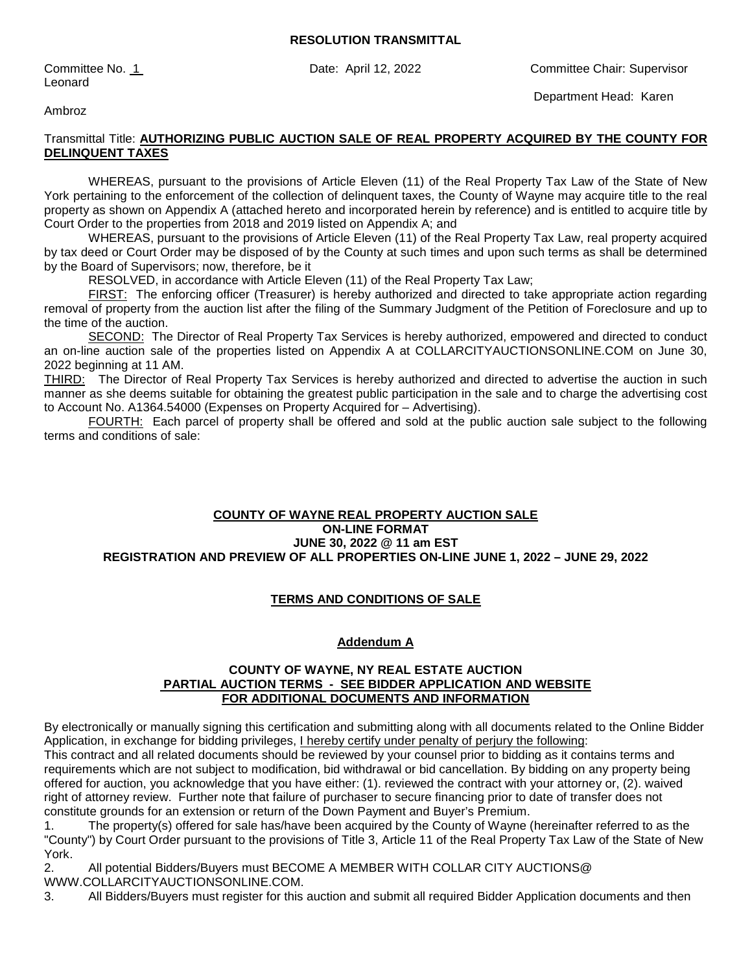Leonard

Ambroz

Committee No. 1 Date: April 12, 2022 Committee Chair: Supervisor

Department Head: Karen

#### Transmittal Title: **AUTHORIZING PUBLIC AUCTION SALE OF REAL PROPERTY ACQUIRED BY THE COUNTY FOR DELINQUENT TAXES**

WHEREAS, pursuant to the provisions of Article Eleven (11) of the Real Property Tax Law of the State of New York pertaining to the enforcement of the collection of delinquent taxes, the County of Wayne may acquire title to the real property as shown on Appendix A (attached hereto and incorporated herein by reference) and is entitled to acquire title by Court Order to the properties from 2018 and 2019 listed on Appendix A; and

WHEREAS, pursuant to the provisions of Article Eleven (11) of the Real Property Tax Law, real property acquired by tax deed or Court Order may be disposed of by the County at such times and upon such terms as shall be determined by the Board of Supervisors; now, therefore, be it

RESOLVED, in accordance with Article Eleven (11) of the Real Property Tax Law;

FIRST: The enforcing officer (Treasurer) is hereby authorized and directed to take appropriate action regarding removal of property from the auction list after the filing of the Summary Judgment of the Petition of Foreclosure and up to the time of the auction.

SECOND: The Director of Real Property Tax Services is hereby authorized, empowered and directed to conduct an on-line auction sale of the properties listed on Appendix A at COLLARCITYAUCTIONSONLINE.COM on June 30, 2022 beginning at 11 AM.

THIRD: The Director of Real Property Tax Services is hereby authorized and directed to advertise the auction in such manner as she deems suitable for obtaining the greatest public participation in the sale and to charge the advertising cost to Account No. A1364.54000 (Expenses on Property Acquired for – Advertising).

FOURTH: Each parcel of property shall be offered and sold at the public auction sale subject to the following terms and conditions of sale:

## **COUNTY OF WAYNE REAL PROPERTY AUCTION SALE ON-LINE FORMAT JUNE 30, 2022 @ 11 am EST REGISTRATION AND PREVIEW OF ALL PROPERTIES ON-LINE JUNE 1, 2022 – JUNE 29, 2022**

## **TERMS AND CONDITIONS OF SALE**

## **Addendum A**

#### **COUNTY OF WAYNE, NY REAL ESTATE AUCTION PARTIAL AUCTION TERMS - SEE BIDDER APPLICATION AND WEBSITE FOR ADDITIONAL DOCUMENTS AND INFORMATION**

By electronically or manually signing this certification and submitting along with all documents related to the Online Bidder Application, in exchange for bidding privileges, I hereby certify under penalty of perjury the following:

This contract and all related documents should be reviewed by your counsel prior to bidding as it contains terms and requirements which are not subject to modification, bid withdrawal or bid cancellation. By bidding on any property being offered for auction, you acknowledge that you have either: (1). reviewed the contract with your attorney or, (2). waived right of attorney review. Further note that failure of purchaser to secure financing prior to date of transfer does not constitute grounds for an extension or return of the Down Payment and Buyer's Premium.

1. The property(s) offered for sale has/have been acquired by the County of Wayne (hereinafter referred to as the "County") by Court Order pursuant to the provisions of Title 3, Article 11 of the Real Property Tax Law of the State of New York.

2. All potential Bidders/Buyers must BECOME A MEMBER WITH COLLAR CITY AUCTIONS@ WWW.COLLARCITYAUCTIONSONLINE.COM.

3. All Bidders/Buyers must register for this auction and submit all required Bidder Application documents and then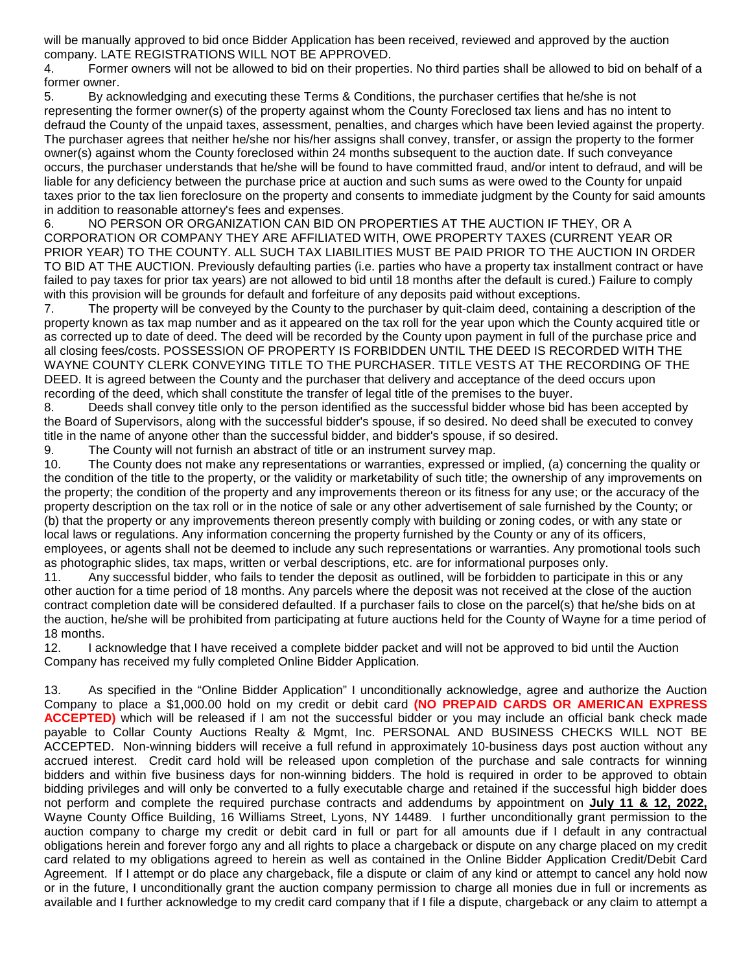will be manually approved to bid once Bidder Application has been received, reviewed and approved by the auction company. LATE REGISTRATIONS WILL NOT BE APPROVED.

4. Former owners will not be allowed to bid on their properties. No third parties shall be allowed to bid on behalf of a former owner.

5. By acknowledging and executing these Terms & Conditions, the purchaser certifies that he/she is not representing the former owner(s) of the property against whom the County Foreclosed tax liens and has no intent to defraud the County of the unpaid taxes, assessment, penalties, and charges which have been levied against the property. The purchaser agrees that neither he/she nor his/her assigns shall convey, transfer, or assign the property to the former owner(s) against whom the County foreclosed within 24 months subsequent to the auction date. If such conveyance occurs, the purchaser understands that he/she will be found to have committed fraud, and/or intent to defraud, and will be liable for any deficiency between the purchase price at auction and such sums as were owed to the County for unpaid taxes prior to the tax lien foreclosure on the property and consents to immediate judgment by the County for said amounts in addition to reasonable attorney's fees and expenses.

6. NO PERSON OR ORGANIZATION CAN BID ON PROPERTIES AT THE AUCTION IF THEY, OR A CORPORATION OR COMPANY THEY ARE AFFILIATED WITH, OWE PROPERTY TAXES (CURRENT YEAR OR PRIOR YEAR) TO THE COUNTY. ALL SUCH TAX LIABILITIES MUST BE PAID PRIOR TO THE AUCTION IN ORDER TO BID AT THE AUCTION. Previously defaulting parties (i.e. parties who have a property tax installment contract or have failed to pay taxes for prior tax years) are not allowed to bid until 18 months after the default is cured.) Failure to comply with this provision will be grounds for default and forfeiture of any deposits paid without exceptions.

7. The property will be conveyed by the County to the purchaser by quit-claim deed, containing a description of the property known as tax map number and as it appeared on the tax roll for the year upon which the County acquired title or as corrected up to date of deed. The deed will be recorded by the County upon payment in full of the purchase price and all closing fees/costs. POSSESSION OF PROPERTY IS FORBIDDEN UNTIL THE DEED IS RECORDED WITH THE WAYNE COUNTY CLERK CONVEYING TITLE TO THE PURCHASER. TITLE VESTS AT THE RECORDING OF THE DEED. It is agreed between the County and the purchaser that delivery and acceptance of the deed occurs upon recording of the deed, which shall constitute the transfer of legal title of the premises to the buyer.

8. Deeds shall convey title only to the person identified as the successful bidder whose bid has been accepted by the Board of Supervisors, along with the successful bidder's spouse, if so desired. No deed shall be executed to convey title in the name of anyone other than the successful bidder, and bidder's spouse, if so desired.

9. The County will not furnish an abstract of title or an instrument survey map.

10. The County does not make any representations or warranties, expressed or implied, (a) concerning the quality or the condition of the title to the property, or the validity or marketability of such title; the ownership of any improvements on the property; the condition of the property and any improvements thereon or its fitness for any use; or the accuracy of the property description on the tax roll or in the notice of sale or any other advertisement of sale furnished by the County; or (b) that the property or any improvements thereon presently comply with building or zoning codes, or with any state or local laws or regulations. Any information concerning the property furnished by the County or any of its officers, employees, or agents shall not be deemed to include any such representations or warranties. Any promotional tools such as photographic slides, tax maps, written or verbal descriptions, etc. are for informational purposes only.

11. Any successful bidder, who fails to tender the deposit as outlined, will be forbidden to participate in this or any other auction for a time period of 18 months. Any parcels where the deposit was not received at the close of the auction contract completion date will be considered defaulted. If a purchaser fails to close on the parcel(s) that he/she bids on at the auction, he/she will be prohibited from participating at future auctions held for the County of Wayne for a time period of 18 months.

12. I acknowledge that I have received a complete bidder packet and will not be approved to bid until the Auction Company has received my fully completed Online Bidder Application.

13. As specified in the "Online Bidder Application" I unconditionally acknowledge, agree and authorize the Auction Company to place a \$1,000.00 hold on my credit or debit card **(NO PREPAID CARDS OR AMERICAN EXPRESS ACCEPTED)** which will be released if I am not the successful bidder or you may include an official bank check made payable to Collar County Auctions Realty & Mgmt, Inc. PERSONAL AND BUSINESS CHECKS WILL NOT BE ACCEPTED. Non-winning bidders will receive a full refund in approximately 10-business days post auction without any accrued interest. Credit card hold will be released upon completion of the purchase and sale contracts for winning bidders and within five business days for non-winning bidders. The hold is required in order to be approved to obtain bidding privileges and will only be converted to a fully executable charge and retained if the successful high bidder does not perform and complete the required purchase contracts and addendums by appointment on **July 11 & 12, 2022,**  Wayne County Office Building, 16 Williams Street, Lyons, NY 14489. I further unconditionally grant permission to the auction company to charge my credit or debit card in full or part for all amounts due if I default in any contractual obligations herein and forever forgo any and all rights to place a chargeback or dispute on any charge placed on my credit card related to my obligations agreed to herein as well as contained in the Online Bidder Application Credit/Debit Card Agreement. If I attempt or do place any chargeback, file a dispute or claim of any kind or attempt to cancel any hold now or in the future, I unconditionally grant the auction company permission to charge all monies due in full or increments as available and I further acknowledge to my credit card company that if I file a dispute, chargeback or any claim to attempt a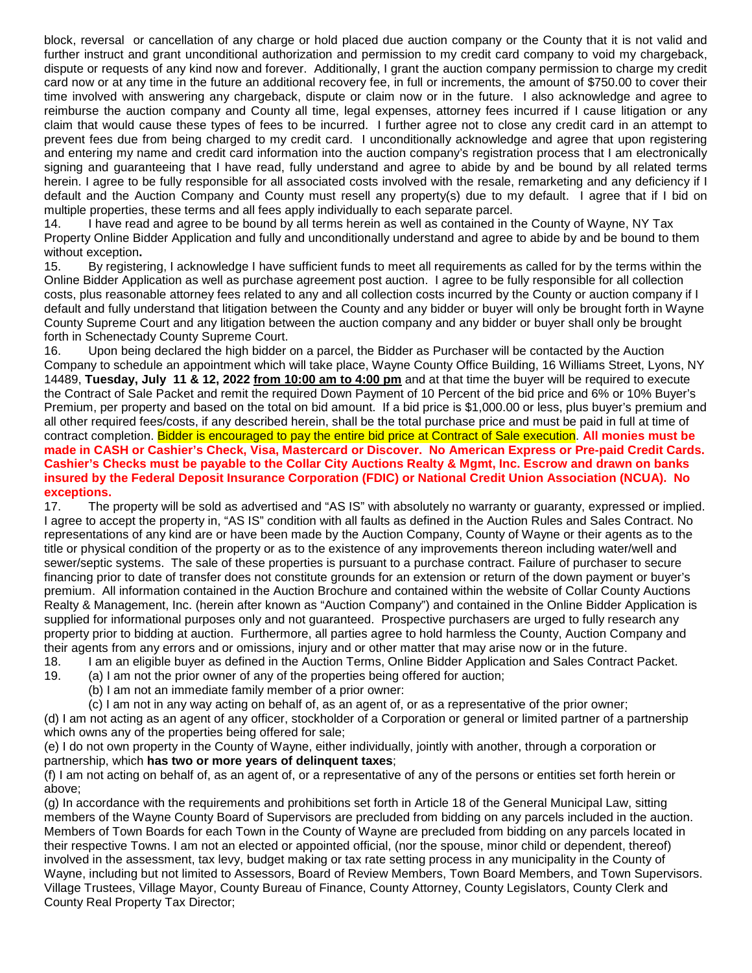block, reversal or cancellation of any charge or hold placed due auction company or the County that it is not valid and further instruct and grant unconditional authorization and permission to my credit card company to void my chargeback, dispute or requests of any kind now and forever. Additionally, I grant the auction company permission to charge my credit card now or at any time in the future an additional recovery fee, in full or increments, the amount of \$750.00 to cover their time involved with answering any chargeback, dispute or claim now or in the future. I also acknowledge and agree to reimburse the auction company and County all time, legal expenses, attorney fees incurred if I cause litigation or any claim that would cause these types of fees to be incurred. I further agree not to close any credit card in an attempt to prevent fees due from being charged to my credit card. I unconditionally acknowledge and agree that upon registering and entering my name and credit card information into the auction company's registration process that I am electronically signing and guaranteeing that I have read, fully understand and agree to abide by and be bound by all related terms herein. I agree to be fully responsible for all associated costs involved with the resale, remarketing and any deficiency if I default and the Auction Company and County must resell any property(s) due to my default. I agree that if I bid on multiple properties, these terms and all fees apply individually to each separate parcel.

14. I have read and agree to be bound by all terms herein as well as contained in the County of Wayne, NY Tax Property Online Bidder Application and fully and unconditionally understand and agree to abide by and be bound to them without exception**.** 

15. By registering, I acknowledge I have sufficient funds to meet all requirements as called for by the terms within the Online Bidder Application as well as purchase agreement post auction. I agree to be fully responsible for all collection costs, plus reasonable attorney fees related to any and all collection costs incurred by the County or auction company if I default and fully understand that litigation between the County and any bidder or buyer will only be brought forth in Wayne County Supreme Court and any litigation between the auction company and any bidder or buyer shall only be brought forth in Schenectady County Supreme Court.

16. Upon being declared the high bidder on a parcel, the Bidder as Purchaser will be contacted by the Auction Company to schedule an appointment which will take place, Wayne County Office Building, 16 Williams Street, Lyons, NY 14489, **Tuesday, July 11 & 12, 2022 from 10:00 am to 4:00 pm** and at that time the buyer will be required to execute the Contract of Sale Packet and remit the required Down Payment of 10 Percent of the bid price and 6% or 10% Buyer's Premium, per property and based on the total on bid amount. If a bid price is \$1,000.00 or less, plus buyer's premium and all other required fees/costs, if any described herein, shall be the total purchase price and must be paid in full at time of contract completion. Bidder is encouraged to pay the entire bid price at Contract of Sale execution. **All monies must be made in CASH or Cashier's Check, Visa, Mastercard or Discover. No American Express or Pre-paid Credit Cards. Cashier's Checks must be payable to the Collar City Auctions Realty & Mgmt, Inc. Escrow and drawn on banks insured by the Federal Deposit Insurance Corporation (FDIC) or National Credit Union Association (NCUA). No exceptions.** 

17. The property will be sold as advertised and "AS IS" with absolutely no warranty or guaranty, expressed or implied. I agree to accept the property in, "AS IS" condition with all faults as defined in the Auction Rules and Sales Contract. No representations of any kind are or have been made by the Auction Company, County of Wayne or their agents as to the title or physical condition of the property or as to the existence of any improvements thereon including water/well and sewer/septic systems. The sale of these properties is pursuant to a purchase contract. Failure of purchaser to secure financing prior to date of transfer does not constitute grounds for an extension or return of the down payment or buyer's premium. All information contained in the Auction Brochure and contained within the website of Collar County Auctions Realty & Management, Inc. (herein after known as "Auction Company") and contained in the Online Bidder Application is supplied for informational purposes only and not guaranteed. Prospective purchasers are urged to fully research any property prior to bidding at auction. Furthermore, all parties agree to hold harmless the County, Auction Company and their agents from any errors and or omissions, injury and or other matter that may arise now or in the future.

- 18. I am an eligible buyer as defined in the Auction Terms, Online Bidder Application and Sales Contract Packet.
- 19. (a) I am not the prior owner of any of the properties being offered for auction;
	- (b) I am not an immediate family member of a prior owner:
	- (c) I am not in any way acting on behalf of, as an agent of, or as a representative of the prior owner;

(d) I am not acting as an agent of any officer, stockholder of a Corporation or general or limited partner of a partnership which owns any of the properties being offered for sale;

(e) I do not own property in the County of Wayne, either individually, jointly with another, through a corporation or partnership, which **has two or more years of delinquent taxes**;

(f) I am not acting on behalf of, as an agent of, or a representative of any of the persons or entities set forth herein or above;

(g) In accordance with the requirements and prohibitions set forth in Article 18 of the General Municipal Law, sitting members of the Wayne County Board of Supervisors are precluded from bidding on any parcels included in the auction. Members of Town Boards for each Town in the County of Wayne are precluded from bidding on any parcels located in their respective Towns. I am not an elected or appointed official, (nor the spouse, minor child or dependent, thereof) involved in the assessment, tax levy, budget making or tax rate setting process in any municipality in the County of Wayne, including but not limited to Assessors, Board of Review Members, Town Board Members, and Town Supervisors. Village Trustees, Village Mayor, County Bureau of Finance, County Attorney, County Legislators, County Clerk and County Real Property Tax Director;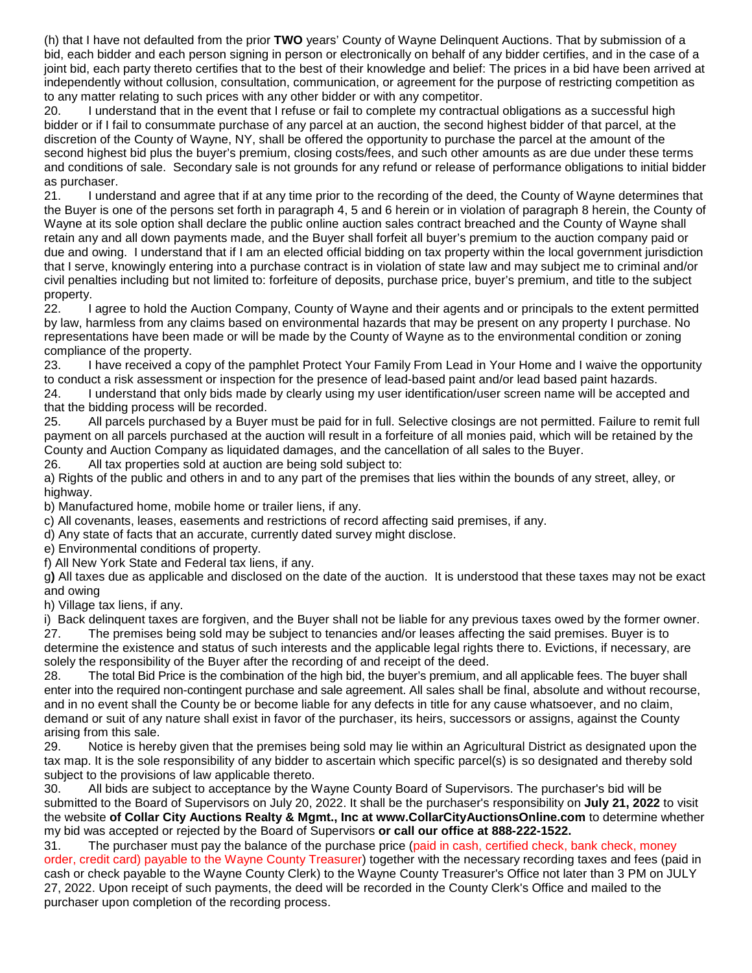(h) that I have not defaulted from the prior **TWO** years' County of Wayne Delinquent Auctions. That by submission of a bid, each bidder and each person signing in person or electronically on behalf of any bidder certifies, and in the case of a joint bid, each party thereto certifies that to the best of their knowledge and belief: The prices in a bid have been arrived at independently without collusion, consultation, communication, or agreement for the purpose of restricting competition as to any matter relating to such prices with any other bidder or with any competitor.

20. I understand that in the event that I refuse or fail to complete my contractual obligations as a successful high bidder or if I fail to consummate purchase of any parcel at an auction, the second highest bidder of that parcel, at the discretion of the County of Wayne, NY, shall be offered the opportunity to purchase the parcel at the amount of the second highest bid plus the buyer's premium, closing costs/fees, and such other amounts as are due under these terms and conditions of sale. Secondary sale is not grounds for any refund or release of performance obligations to initial bidder as purchaser.

21. I understand and agree that if at any time prior to the recording of the deed, the County of Wayne determines that the Buyer is one of the persons set forth in paragraph 4, 5 and 6 herein or in violation of paragraph 8 herein, the County of Wayne at its sole option shall declare the public online auction sales contract breached and the County of Wayne shall retain any and all down payments made, and the Buyer shall forfeit all buyer's premium to the auction company paid or due and owing. I understand that if I am an elected official bidding on tax property within the local government jurisdiction that I serve, knowingly entering into a purchase contract is in violation of state law and may subject me to criminal and/or civil penalties including but not limited to: forfeiture of deposits, purchase price, buyer's premium, and title to the subject property.

22. I agree to hold the Auction Company, County of Wayne and their agents and or principals to the extent permitted by law, harmless from any claims based on environmental hazards that may be present on any property I purchase. No representations have been made or will be made by the County of Wayne as to the environmental condition or zoning compliance of the property.

23. I have received a copy of the pamphlet Protect Your Family From Lead in Your Home and I waive the opportunity to conduct a risk assessment or inspection for the presence of lead-based paint and/or lead based paint hazards.

24. I understand that only bids made by clearly using my user identification/user screen name will be accepted and that the bidding process will be recorded.

25. All parcels purchased by a Buyer must be paid for in full. Selective closings are not permitted. Failure to remit full payment on all parcels purchased at the auction will result in a forfeiture of all monies paid, which will be retained by the County and Auction Company as liquidated damages, and the cancellation of all sales to the Buyer.

26. All tax properties sold at auction are being sold subject to: a) Rights of the public and others in and to any part of the premises that lies within the bounds of any street, alley, or highway.

b) Manufactured home, mobile home or trailer liens, if any.

c) All covenants, leases, easements and restrictions of record affecting said premises, if any.

d) Any state of facts that an accurate, currently dated survey might disclose.

e) Environmental conditions of property.

f) All New York State and Federal tax liens, if any.

g**)** All taxes due as applicable and disclosed on the date of the auction. It is understood that these taxes may not be exact and owing

h) Village tax liens, if any.

i) Back delinquent taxes are forgiven, and the Buyer shall not be liable for any previous taxes owed by the former owner. 27. The premises being sold may be subject to tenancies and/or leases affecting the said premises. Buyer is to determine the existence and status of such interests and the applicable legal rights there to. Evictions, if necessary, are solely the responsibility of the Buyer after the recording of and receipt of the deed.

28. The total Bid Price is the combination of the high bid, the buyer's premium, and all applicable fees. The buyer shall enter into the required non-contingent purchase and sale agreement. All sales shall be final, absolute and without recourse, and in no event shall the County be or become liable for any defects in title for any cause whatsoever, and no claim, demand or suit of any nature shall exist in favor of the purchaser, its heirs, successors or assigns, against the County arising from this sale.

29. Notice is hereby given that the premises being sold may lie within an Agricultural District as designated upon the tax map. It is the sole responsibility of any bidder to ascertain which specific parcel(s) is so designated and thereby sold subject to the provisions of law applicable thereto.

30. All bids are subject to acceptance by the Wayne County Board of Supervisors. The purchaser's bid will be submitted to the Board of Supervisors on July 20, 2022. It shall be the purchaser's responsibility on **July 21, 2022** to visit the website **of Collar City Auctions Realty & Mgmt., Inc at www.CollarCityAuctionsOnline.com** to determine whether my bid was accepted or rejected by the Board of Supervisors **or call our office at 888-222-1522.**

31. The purchaser must pay the balance of the purchase price (paid in cash, certified check, bank check, money order, credit card) payable to the Wayne County Treasurer) together with the necessary recording taxes and fees (paid in cash or check payable to the Wayne County Clerk) to the Wayne County Treasurer's Office not later than 3 PM on JULY 27, 2022. Upon receipt of such payments, the deed will be recorded in the County Clerk's Office and mailed to the purchaser upon completion of the recording process.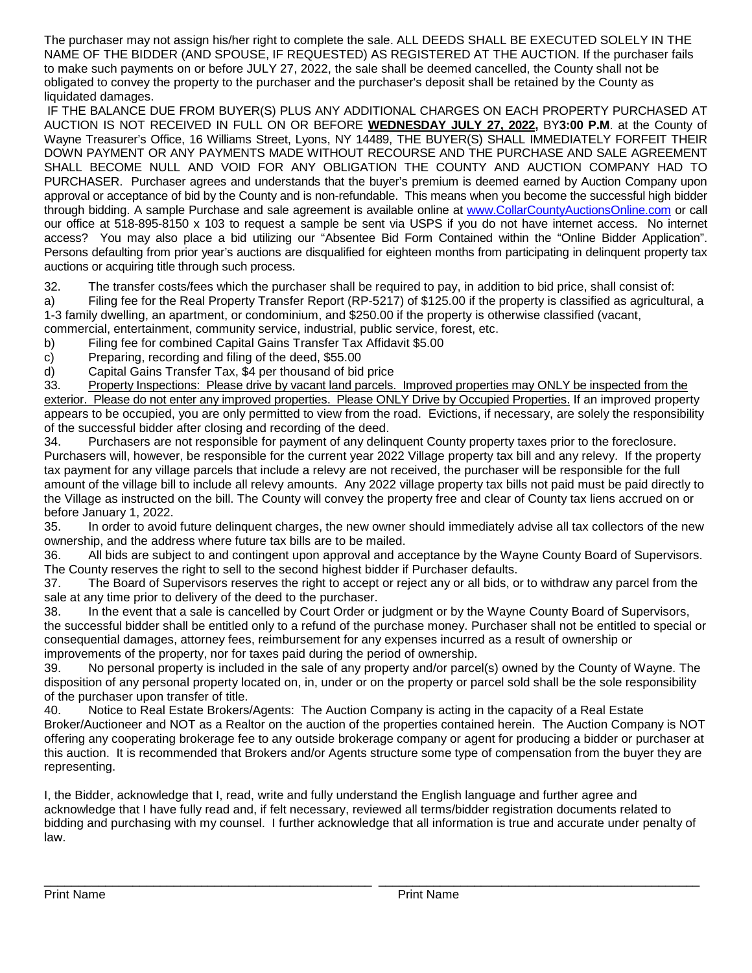The purchaser may not assign his/her right to complete the sale. ALL DEEDS SHALL BE EXECUTED SOLELY IN THE NAME OF THE BIDDER (AND SPOUSE, IF REQUESTED) AS REGISTERED AT THE AUCTION. If the purchaser fails to make such payments on or before JULY 27, 2022, the sale shall be deemed cancelled, the County shall not be obligated to convey the property to the purchaser and the purchaser's deposit shall be retained by the County as liquidated damages.

 IF THE BALANCE DUE FROM BUYER(S) PLUS ANY ADDITIONAL CHARGES ON EACH PROPERTY PURCHASED AT AUCTION IS NOT RECEIVED IN FULL ON OR BEFORE **WEDNESDAY JULY 27, 2022,** BY**3:00 P.M**. at the County of Wayne Treasurer's Office, 16 Williams Street, Lyons, NY 14489, THE BUYER(S) SHALL IMMEDIATELY FORFEIT THEIR DOWN PAYMENT OR ANY PAYMENTS MADE WITHOUT RECOURSE AND THE PURCHASE AND SALE AGREEMENT SHALL BECOME NULL AND VOID FOR ANY OBLIGATION THE COUNTY AND AUCTION COMPANY HAD TO PURCHASER. Purchaser agrees and understands that the buyer's premium is deemed earned by Auction Company upon approval or acceptance of bid by the County and is non-refundable. This means when you become the successful high bidder through bidding. A sample Purchase and sale agreement is available online at [www.CollarCountyAuctionsOnline.com](http://www.collarcityauctionsonline.com/) or call our office at 518-895-8150 x 103 to request a sample be sent via USPS if you do not have internet access. No internet access? You may also place a bid utilizing our "Absentee Bid Form Contained within the "Online Bidder Application". Persons defaulting from prior year's auctions are disqualified for eighteen months from participating in delinquent property tax auctions or acquiring title through such process.

32. The transfer costs/fees which the purchaser shall be required to pay, in addition to bid price, shall consist of:

a) Filing fee for the Real Property Transfer Report (RP-5217) of \$125.00 if the property is classified as agricultural, a 1-3 family dwelling, an apartment, or condominium, and \$250.00 if the property is otherwise classified (vacant,

commercial, entertainment, community service, industrial, public service, forest, etc.

- b) Filing fee for combined Capital Gains Transfer Tax Affidavit \$5.00
- c) Preparing, recording and filing of the deed, \$55.00

d) Capital Gains Transfer Tax, \$4 per thousand of bid price

33. Property Inspections: Please drive by vacant land parcels. Improved properties may ONLY be inspected from the exterior. Please do not enter any improved properties. Please ONLY Drive by Occupied Properties. If an improved property appears to be occupied, you are only permitted to view from the road. Evictions, if necessary, are solely the responsibility of the successful bidder after closing and recording of the deed.

34. Purchasers are not responsible for payment of any delinquent County property taxes prior to the foreclosure. Purchasers will, however, be responsible for the current year 2022 Village property tax bill and any relevy. If the property tax payment for any village parcels that include a relevy are not received, the purchaser will be responsible for the full amount of the village bill to include all relevy amounts. Any 2022 village property tax bills not paid must be paid directly to the Village as instructed on the bill. The County will convey the property free and clear of County tax liens accrued on or before January 1, 2022.

35. In order to avoid future delinquent charges, the new owner should immediately advise all tax collectors of the new ownership, and the address where future tax bills are to be mailed.

36. All bids are subject to and contingent upon approval and acceptance by the Wayne County Board of Supervisors. The County reserves the right to sell to the second highest bidder if Purchaser defaults.

37. The Board of Supervisors reserves the right to accept or reject any or all bids, or to withdraw any parcel from the sale at any time prior to delivery of the deed to the purchaser.

38. In the event that a sale is cancelled by Court Order or judgment or by the Wayne County Board of Supervisors, the successful bidder shall be entitled only to a refund of the purchase money. Purchaser shall not be entitled to special or consequential damages, attorney fees, reimbursement for any expenses incurred as a result of ownership or improvements of the property, nor for taxes paid during the period of ownership.

39. No personal property is included in the sale of any property and/or parcel(s) owned by the County of Wayne. The disposition of any personal property located on, in, under or on the property or parcel sold shall be the sole responsibility of the purchaser upon transfer of title.

40. Notice to Real Estate Brokers/Agents: The Auction Company is acting in the capacity of a Real Estate Broker/Auctioneer and NOT as a Realtor on the auction of the properties contained herein. The Auction Company is NOT offering any cooperating brokerage fee to any outside brokerage company or agent for producing a bidder or purchaser at this auction. It is recommended that Brokers and/or Agents structure some type of compensation from the buyer they are representing.

I, the Bidder, acknowledge that I, read, write and fully understand the English language and further agree and acknowledge that I have fully read and, if felt necessary, reviewed all terms/bidder registration documents related to bidding and purchasing with my counsel. I further acknowledge that all information is true and accurate under penalty of law.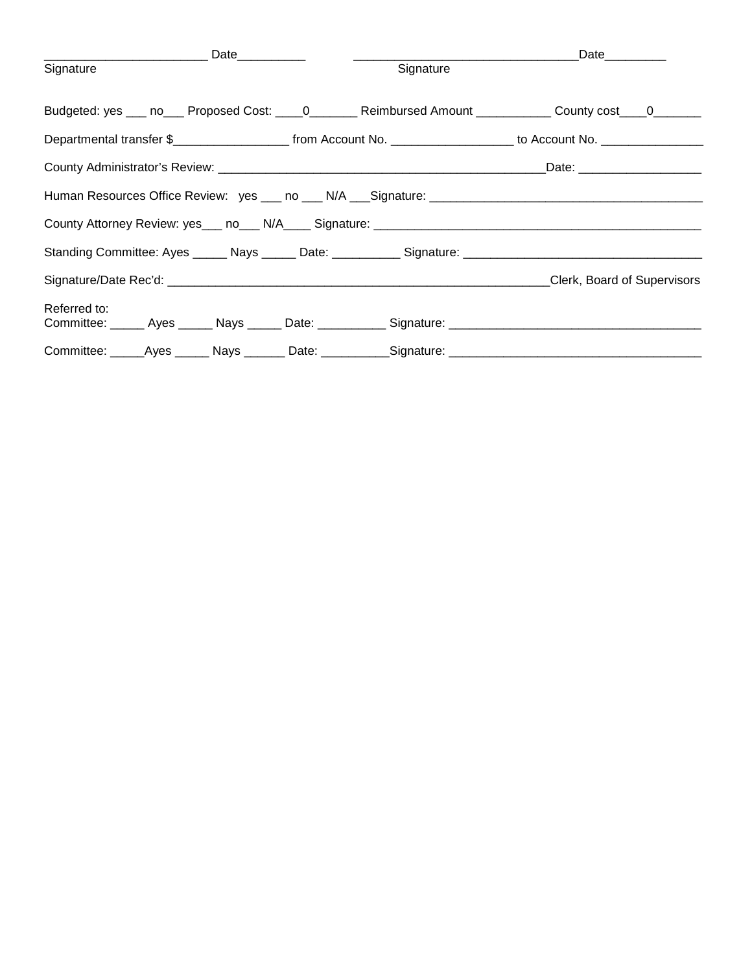| Date__________                                                                                                       | $\frac{1}{2}$ and $\frac{1}{2}$ and $\frac{1}{2}$ and $\frac{1}{2}$ | Date                        |
|----------------------------------------------------------------------------------------------------------------------|---------------------------------------------------------------------|-----------------------------|
| Signature                                                                                                            | Signature                                                           |                             |
| Budgeted: yes ___ no___ Proposed Cost: ____0________ Reimbursed Amount ___________ County cost ___0_______           |                                                                     |                             |
| Departmental transfer \$________________________________from Account No. ____________________________ to Account No. |                                                                     |                             |
|                                                                                                                      |                                                                     |                             |
|                                                                                                                      |                                                                     |                             |
|                                                                                                                      |                                                                     |                             |
| Standing Committee: Ayes ______ Nays ______ Date: ___________ Signature: ___________________________                 |                                                                     |                             |
|                                                                                                                      |                                                                     | Clerk, Board of Supervisors |
| Referred to:                                                                                                         |                                                                     |                             |
| Committee: ______Ayes ______ Nays _______ Date: ___________Signature: _____________________________                  |                                                                     |                             |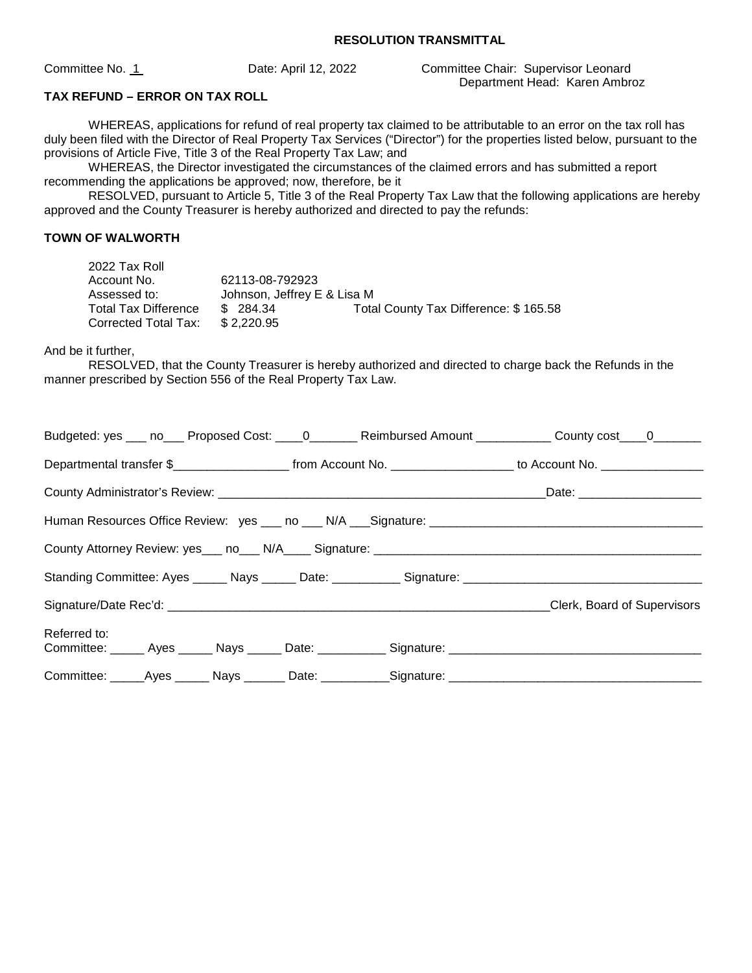Committee No. 1 Date: April 12, 2022 Committee Chair: Supervisor Leonard Department Head: Karen Ambroz

#### **TAX REFUND – ERROR ON TAX ROLL**

WHEREAS, applications for refund of real property tax claimed to be attributable to an error on the tax roll has duly been filed with the Director of Real Property Tax Services ("Director") for the properties listed below, pursuant to the provisions of Article Five, Title 3 of the Real Property Tax Law; and

WHEREAS, the Director investigated the circumstances of the claimed errors and has submitted a report recommending the applications be approved; now, therefore, be it

RESOLVED, pursuant to Article 5, Title 3 of the Real Property Tax Law that the following applications are hereby approved and the County Treasurer is hereby authorized and directed to pay the refunds:

## **TOWN OF WALWORTH**

| 2022 Tax Roll               |                             |                                       |
|-----------------------------|-----------------------------|---------------------------------------|
| Account No.                 | 62113-08-792923             |                                       |
| Assessed to:                | Johnson, Jeffrey E & Lisa M |                                       |
| <b>Total Tax Difference</b> | \$ 284.34                   | Total County Tax Difference: \$165.58 |
| Corrected Total Tax:        | \$2,220.95                  |                                       |

And be it further,

RESOLVED, that the County Treasurer is hereby authorized and directed to charge back the Refunds in the manner prescribed by Section 556 of the Real Property Tax Law.

| Budgeted: yes ___ no___ Proposed Cost: ____0_______ Reimbursed Amount ___________ County cost ___0_______             |  |                             |
|-----------------------------------------------------------------------------------------------------------------------|--|-----------------------------|
| Departmental transfer \$________________________ from Account No. ____________________ to Account No. _______________ |  |                             |
|                                                                                                                       |  |                             |
|                                                                                                                       |  |                             |
|                                                                                                                       |  |                             |
| Standing Committee: Ayes ______ Nays ______ Date: ___________ Signature: ___________________________                  |  |                             |
|                                                                                                                       |  | Clerk, Board of Supervisors |
| Referred to:                                                                                                          |  |                             |
| Committee: _____Ayes ______ Nays _______ Date: ___________Signature: ______________________________                   |  |                             |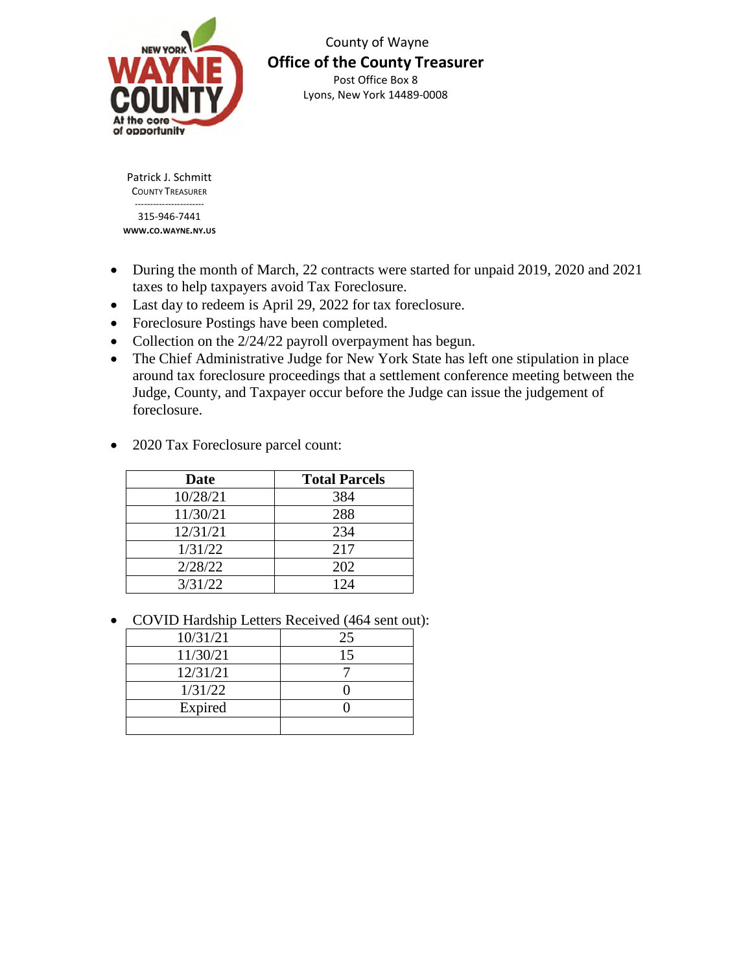

 County of Wayne **Office of the County Treasurer**  Post Office Box 8 Lyons, New York 14489-0008

Patrick J. Schmitt COUNTY TREASURER ----------------------- 315-946-7441 **WWW.CO.WAYNE.NY.US**

- During the month of March, 22 contracts were started for unpaid 2019, 2020 and 2021 taxes to help taxpayers avoid Tax Foreclosure.
- Last day to redeem is April 29, 2022 for tax foreclosure.
- Foreclosure Postings have been completed.
- Collection on the  $2/24/22$  payroll overpayment has begun.
- The Chief Administrative Judge for New York State has left one stipulation in place around tax foreclosure proceedings that a settlement conference meeting between the Judge, County, and Taxpayer occur before the Judge can issue the judgement of foreclosure.

| Date     | <b>Total Parcels</b> |
|----------|----------------------|
| 10/28/21 | 384                  |
| 11/30/21 | 288                  |
| 12/31/21 | 234                  |
| 1/31/22  | 217                  |
| 2/28/22  | 202                  |
| 3/31/22  | 124                  |

• 2020 Tax Foreclosure parcel count:

COVID Hardship Letters Received (464 sent out):

| 10/31/21 | 25 |
|----------|----|
| 11/30/21 | 15 |
| 12/31/21 |    |
| 1/31/22  |    |
| Expired  |    |
|          |    |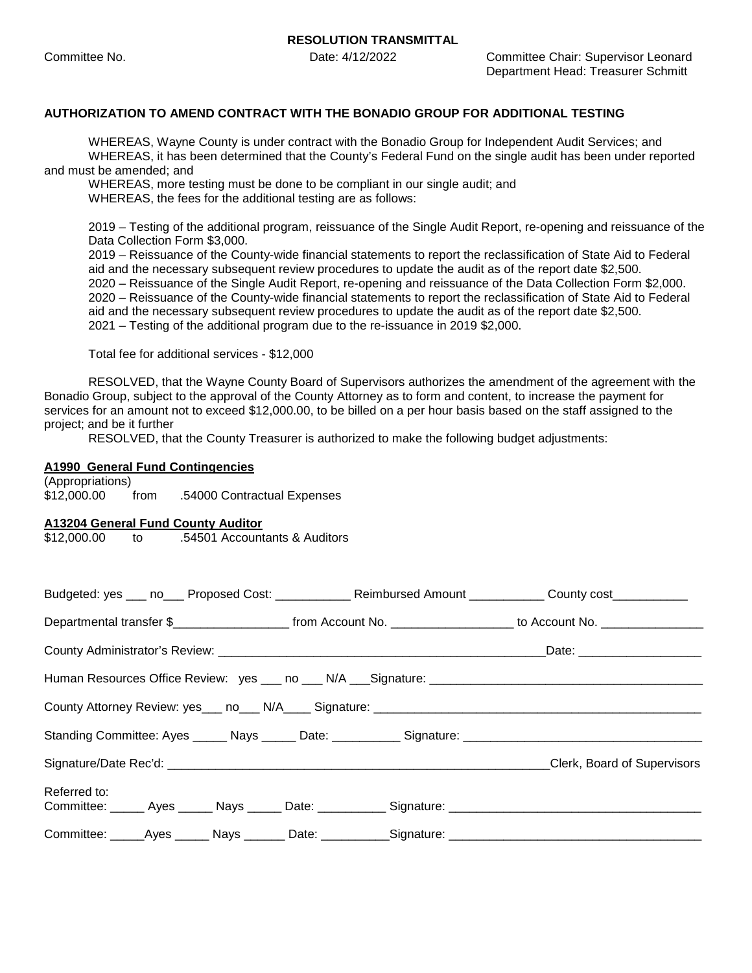Committee No. Date: 4/12/2022 Committee Chair: Supervisor Leonard Department Head: Treasurer Schmitt

#### **AUTHORIZATION TO AMEND CONTRACT WITH THE BONADIO GROUP FOR ADDITIONAL TESTING**

WHEREAS, Wayne County is under contract with the Bonadio Group for Independent Audit Services; and WHEREAS, it has been determined that the County's Federal Fund on the single audit has been under reported and must be amended; and

WHEREAS, more testing must be done to be compliant in our single audit; and WHEREAS, the fees for the additional testing are as follows:

2019 – Testing of the additional program, reissuance of the Single Audit Report, re-opening and reissuance of the Data Collection Form \$3,000.

2019 – Reissuance of the County-wide financial statements to report the reclassification of State Aid to Federal aid and the necessary subsequent review procedures to update the audit as of the report date \$2,500. 2020 – Reissuance of the Single Audit Report, re-opening and reissuance of the Data Collection Form \$2,000. 2020 – Reissuance of the County-wide financial statements to report the reclassification of State Aid to Federal aid and the necessary subsequent review procedures to update the audit as of the report date \$2,500. 2021 – Testing of the additional program due to the re-issuance in 2019 \$2,000.

Total fee for additional services - \$12,000

RESOLVED, that the Wayne County Board of Supervisors authorizes the amendment of the agreement with the Bonadio Group, subject to the approval of the County Attorney as to form and content, to increase the payment for services for an amount not to exceed \$12,000.00, to be billed on a per hour basis based on the staff assigned to the project; and be it further

RESOLVED, that the County Treasurer is authorized to make the following budget adjustments:

#### **A1990 General Fund Contingencies**

(Appropriations) \$12,000.00 from .54000 Contractual Expenses

#### **A13204 General Fund County Auditor**

| \$12,000.00 |  | .54501 Accountants & Auditors |
|-------------|--|-------------------------------|
|-------------|--|-------------------------------|

| Budgeted: yes ___ no___ Proposed Cost: ______________ Reimbursed Amount __________ County cost ___________                               |  |                             |
|------------------------------------------------------------------------------------------------------------------------------------------|--|-----------------------------|
| Departmental transfer \$________________________________from Account No. ____________________________ to Account No. ___________________ |  |                             |
|                                                                                                                                          |  |                             |
|                                                                                                                                          |  |                             |
|                                                                                                                                          |  |                             |
|                                                                                                                                          |  |                             |
|                                                                                                                                          |  | Clerk, Board of Supervisors |
| Referred to:<br>Committee: ______ Ayes ______ Nays ______ Date: ___________ Signature: _____________________________                     |  |                             |
| Committee: ______Ayes ______ Nays _______ Date: ___________Signature: ______________________________                                     |  |                             |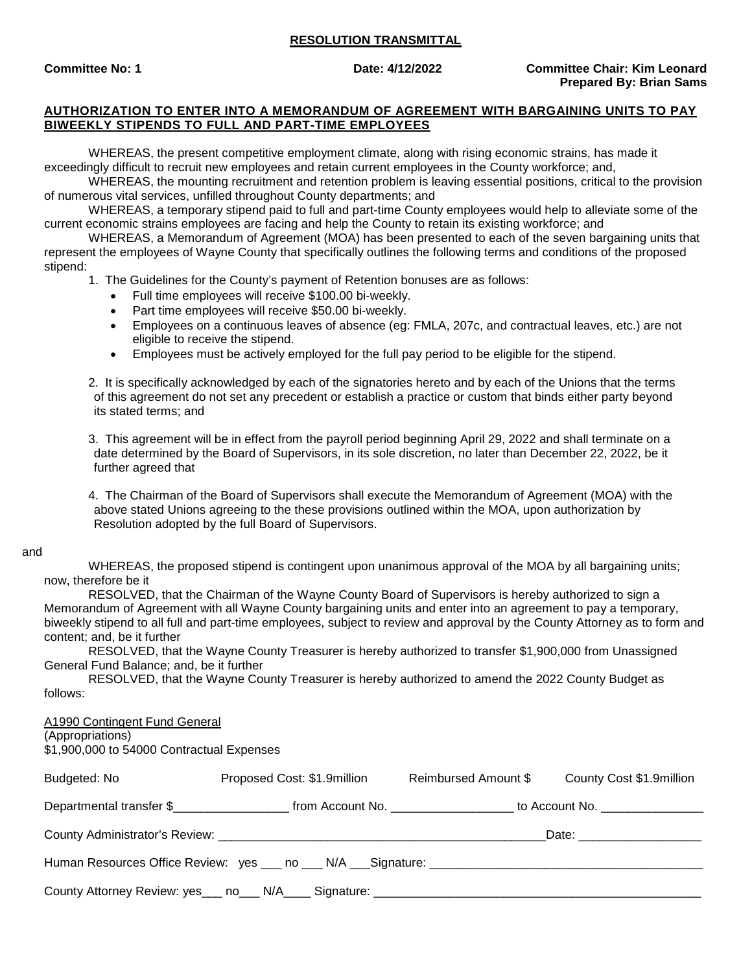**Committee No: 1 Date: 4/12/2022 Committee Chair: Kim Leonard Prepared By: Brian Sams**

## **AUTHORIZATION TO ENTER INTO A MEMORANDUM OF AGREEMENT WITH BARGAINING UNITS TO PAY BIWEEKLY STIPENDS TO FULL AND PART-TIME EMPLOYEES**

WHEREAS, the present competitive employment climate, along with rising economic strains, has made it exceedingly difficult to recruit new employees and retain current employees in the County workforce; and,

WHEREAS, the mounting recruitment and retention problem is leaving essential positions, critical to the provision of numerous vital services, unfilled throughout County departments; and

WHEREAS, a temporary stipend paid to full and part-time County employees would help to alleviate some of the current economic strains employees are facing and help the County to retain its existing workforce; and

WHEREAS, a Memorandum of Agreement (MOA) has been presented to each of the seven bargaining units that represent the employees of Wayne County that specifically outlines the following terms and conditions of the proposed stipend:

1. The Guidelines for the County's payment of Retention bonuses are as follows:

- Full time employees will receive \$100.00 bi-weekly.
- Part time employees will receive \$50.00 bi-weekly.
- Employees on a continuous leaves of absence (eg: FMLA, 207c, and contractual leaves, etc.) are not eligible to receive the stipend.
- Employees must be actively employed for the full pay period to be eligible for the stipend.

2. It is specifically acknowledged by each of the signatories hereto and by each of the Unions that the terms of this agreement do not set any precedent or establish a practice or custom that binds either party beyond its stated terms; and

3. This agreement will be in effect from the payroll period beginning April 29, 2022 and shall terminate on a date determined by the Board of Supervisors, in its sole discretion, no later than December 22, 2022, be it further agreed that

4. The Chairman of the Board of Supervisors shall execute the Memorandum of Agreement (MOA) with the above stated Unions agreeing to the these provisions outlined within the MOA, upon authorization by Resolution adopted by the full Board of Supervisors.

#### and

WHEREAS, the proposed stipend is contingent upon unanimous approval of the MOA by all bargaining units; now, therefore be it

RESOLVED, that the Chairman of the Wayne County Board of Supervisors is hereby authorized to sign a Memorandum of Agreement with all Wayne County bargaining units and enter into an agreement to pay a temporary, biweekly stipend to all full and part-time employees, subject to review and approval by the County Attorney as to form and content; and, be it further

RESOLVED, that the Wayne County Treasurer is hereby authorized to transfer \$1,900,000 from Unassigned General Fund Balance; and, be it further

RESOLVED, that the Wayne County Treasurer is hereby authorized to amend the 2022 County Budget as follows:

| A1990 Contingent Fund General |
|-------------------------------|
| (Appropriations)              |

\$1,900,000 to 54000 Contractual Expenses

| Budgeted: No | Proposed Cost: \$1.9million | Reimbursed Amount \$ | County Cost \$1.9million |  |  |  |
|--------------|-----------------------------|----------------------|--------------------------|--|--|--|
|              |                             |                      |                          |  |  |  |
|              |                             |                      |                          |  |  |  |
|              |                             |                      |                          |  |  |  |
|              |                             |                      |                          |  |  |  |